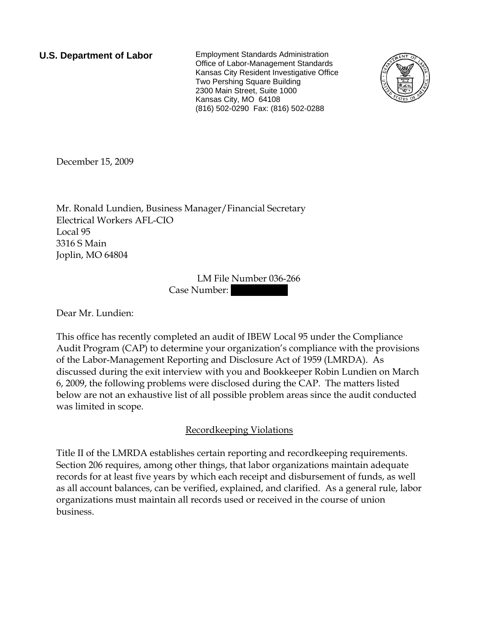**U.S. Department of Labor** Employment Standards Administration Office of Labor-Management Standards Kansas City Resident Investigative Office Two Pershing Square Building 2300 Main Street, Suite 1000 Kansas City, MO 64108 (816) 502-0290 Fax: (816) 502-0288



December 15, 2009

Mr. Ronald Lundien, Business Manager/Financial Secretary Electrical Workers AFL-CIO Local 95 3316 S Main Joplin, MO 64804

> LM File Number 036-266 Case Number:

Dear Mr. Lundien:

This office has recently completed an audit of IBEW Local 95 under the Compliance Audit Program (CAP) to determine your organization's compliance with the provisions of the Labor-Management Reporting and Disclosure Act of 1959 (LMRDA). As discussed during the exit interview with you and Bookkeeper Robin Lundien on March 6, 2009, the following problems were disclosed during the CAP. The matters listed below are not an exhaustive list of all possible problem areas since the audit conducted was limited in scope.

Recordkeeping Violations

Title II of the LMRDA establishes certain reporting and recordkeeping requirements. Section 206 requires, among other things, that labor organizations maintain adequate records for at least five years by which each receipt and disbursement of funds, as well as all account balances, can be verified, explained, and clarified. As a general rule, labor organizations must maintain all records used or received in the course of union business.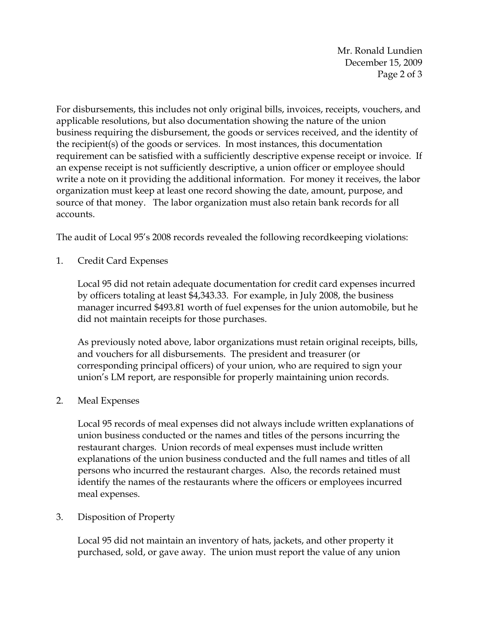Mr. Ronald Lundien December 15, 2009 Page 2 of 3

For disbursements, this includes not only original bills, invoices, receipts, vouchers, and applicable resolutions, but also documentation showing the nature of the union business requiring the disbursement, the goods or services received, and the identity of the recipient(s) of the goods or services. In most instances, this documentation requirement can be satisfied with a sufficiently descriptive expense receipt or invoice. If an expense receipt is not sufficiently descriptive, a union officer or employee should write a note on it providing the additional information. For money it receives, the labor organization must keep at least one record showing the date, amount, purpose, and source of that money. The labor organization must also retain bank records for all accounts.

The audit of Local 95's 2008 records revealed the following recordkeeping violations:

1. Credit Card Expenses

Local 95 did not retain adequate documentation for credit card expenses incurred by officers totaling at least \$4,343.33. For example, in July 2008, the business manager incurred \$493.81 worth of fuel expenses for the union automobile, but he did not maintain receipts for those purchases.

As previously noted above, labor organizations must retain original receipts, bills, and vouchers for all disbursements. The president and treasurer (or corresponding principal officers) of your union, who are required to sign your union's LM report, are responsible for properly maintaining union records.

## 2. Meal Expenses

Local 95 records of meal expenses did not always include written explanations of union business conducted or the names and titles of the persons incurring the restaurant charges. Union records of meal expenses must include written explanations of the union business conducted and the full names and titles of all persons who incurred the restaurant charges. Also, the records retained must identify the names of the restaurants where the officers or employees incurred meal expenses.

## 3. Disposition of Property

Local 95 did not maintain an inventory of hats, jackets, and other property it purchased, sold, or gave away. The union must report the value of any union